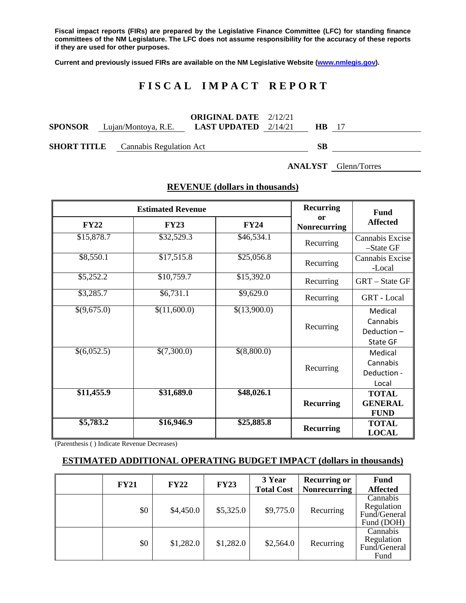**Fiscal impact reports (FIRs) are prepared by the Legislative Finance Committee (LFC) for standing finance committees of the NM Legislature. The LFC does not assume responsibility for the accuracy of these reports if they are used for other purposes.**

**Current and previously issued FIRs are available on the NM Legislative Website [\(www.nmlegis.gov\)](http://www.nmlegis.gov/).**

# **F I S C A L I M P A C T R E P O R T**

|                                              |                                    | <b>ORIGINAL DATE</b> 2/12/21  |        |  |
|----------------------------------------------|------------------------------------|-------------------------------|--------|--|
|                                              | <b>SPONSOR</b> Lujan/Montoya, R.E. | <b>LAST UPDATED</b> $2/14/21$ | HB.    |  |
| $\alpha$ and $\alpha$ is the second $\alpha$ | $\sim$<br>.                        |                               | $\sim$ |  |

**SHORT TITLE** Cannabis Regulation Act **SB**

**ANALYST** Glenn/Torres

|                    | <b>Estimated Revenue</b> | <b>Recurring</b> | <b>Fund</b>                          |                                               |
|--------------------|--------------------------|------------------|--------------------------------------|-----------------------------------------------|
| <b>FY22</b>        | <b>FY23</b>              | <b>FY24</b>      | <sub>or</sub><br><b>Nonrecurring</b> | <b>Affected</b>                               |
| \$15,878.7         | \$32,529.3               | \$46,534.1       | Recurring                            | Cannabis Excise<br>$-S$ tate GF               |
| \$8,550.1          | \$17,515.8               | \$25,056.8       | Recurring                            | Cannabis Excise<br>-Local                     |
| \$5,252.2          | \$10,759.7               | \$15,392.0       | Recurring                            | GRT - State GF                                |
| \$3,285.7          | \$6,731.1                | \$9,629.0        | Recurring                            | GRT - Local                                   |
| $\sqrt{(9,675.0)}$ | \$(11,600.0)             | \$(13,900.0)     | Recurring                            | Medical<br>Cannabis<br>Deduction-<br>State GF |
| $\sqrt{(6,052.5)}$ | \$(7,300.0)              | \$(8,800.0)      | Recurring                            | Medical<br>Cannabis<br>Deduction -<br>Local   |
| \$11,455.9         | \$31,689.0               | \$48,026.1       | <b>Recurring</b>                     | <b>TOTAL</b><br><b>GENERAL</b><br><b>FUND</b> |
| \$5,783.2          | \$16,946.9               | \$25,885.8       | <b>Recurring</b>                     | <b>TOTAL</b><br><b>LOCAL</b>                  |

# **REVENUE (dollars in thousands)**

(Parenthesis ( ) Indicate Revenue Decreases)

#### **ESTIMATED ADDITIONAL OPERATING BUDGET IMPACT (dollars in thousands)**

| <b>FY21</b> | <b>FY22</b> | <b>FY23</b> | 3 Year<br><b>Total Cost</b> | <b>Recurring or</b><br><b>Nonrecurring</b> | <b>Fund</b><br><b>Affected</b>                       |
|-------------|-------------|-------------|-----------------------------|--------------------------------------------|------------------------------------------------------|
| \$0         | \$4,450.0   | \$5,325.0   | \$9,775.0                   | Recurring                                  | Cannabis<br>Regulation<br>Fund/General<br>Fund (DOH) |
| \$0         | \$1,282.0   | \$1,282.0   | \$2,564.0                   | Recurring                                  | Cannabis<br>Regulation<br>Fund/General<br>Fund       |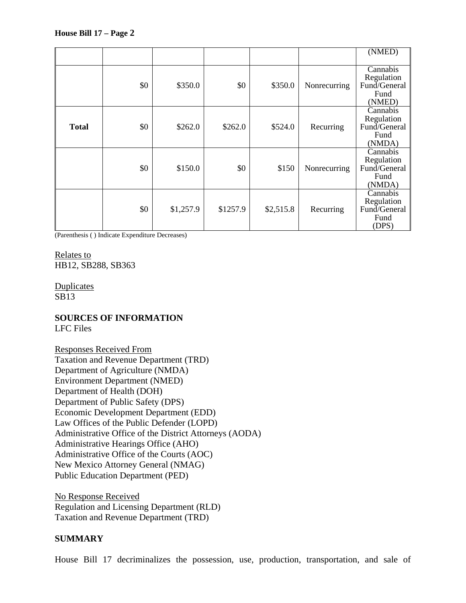|              |     |           |          |           |              | (NMED)                                                   |
|--------------|-----|-----------|----------|-----------|--------------|----------------------------------------------------------|
|              | \$0 | \$350.0   | \$0      | \$350.0   | Nonrecurring | Cannabis<br>Regulation<br>Fund/General<br>Fund<br>(NMED) |
| <b>Total</b> | \$0 | \$262.0   | \$262.0  | \$524.0   | Recurring    | Cannabis<br>Regulation<br>Fund/General<br>Fund<br>(NMDA) |
|              | \$0 | \$150.0   | \$0      | \$150     | Nonrecurring | Cannabis<br>Regulation<br>Fund/General<br>Fund<br>(NMDA) |
|              | \$0 | \$1,257.9 | \$1257.9 | \$2,515.8 | Recurring    | Cannabis<br>Regulation<br>Fund/General<br>Fund<br>(DPS)  |

(Parenthesis ( ) Indicate Expenditure Decreases)

Relates to HB12, SB288, SB363

Duplicates SB13

### **SOURCES OF INFORMATION** LFC Files

Responses Received From Taxation and Revenue Department (TRD) Department of Agriculture (NMDA) Environment Department (NMED) Department of Health (DOH) Department of Public Safety (DPS) Economic Development Department (EDD) Law Offices of the Public Defender (LOPD) Administrative Office of the District Attorneys (AODA) Administrative Hearings Office (AHO) Administrative Office of the Courts (AOC) New Mexico Attorney General (NMAG) Public Education Department (PED)

No Response Received Regulation and Licensing Department (RLD) Taxation and Revenue Department (TRD)

# **SUMMARY**

House Bill 17 decriminalizes the possession, use, production, transportation, and sale of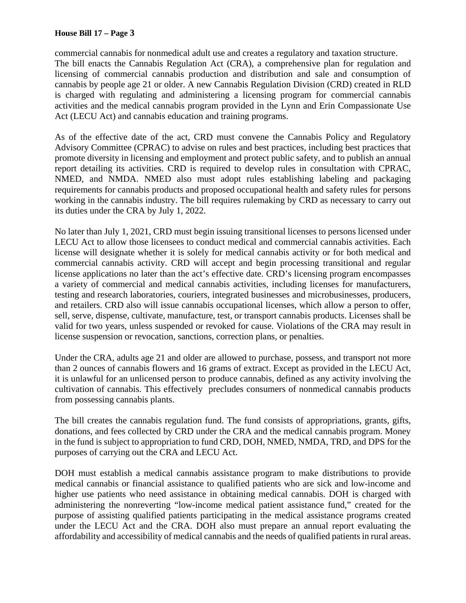commercial cannabis for nonmedical adult use and creates a regulatory and taxation structure. The bill enacts the Cannabis Regulation Act (CRA), a comprehensive plan for regulation and licensing of commercial cannabis production and distribution and sale and consumption of cannabis by people age 21 or older. A new Cannabis Regulation Division (CRD) created in RLD is charged with regulating and administering a licensing program for commercial cannabis activities and the medical cannabis program provided in the Lynn and Erin Compassionate Use Act (LECU Act) and cannabis education and training programs.

As of the effective date of the act, CRD must convene the Cannabis Policy and Regulatory Advisory Committee (CPRAC) to advise on rules and best practices, including best practices that promote diversity in licensing and employment and protect public safety, and to publish an annual report detailing its activities. CRD is required to develop rules in consultation with CPRAC, NMED, and NMDA. NMED also must adopt rules establishing labeling and packaging requirements for cannabis products and proposed occupational health and safety rules for persons working in the cannabis industry. The bill requires rulemaking by CRD as necessary to carry out its duties under the CRA by July 1, 2022.

No later than July 1, 2021, CRD must begin issuing transitional licenses to persons licensed under LECU Act to allow those licensees to conduct medical and commercial cannabis activities. Each license will designate whether it is solely for medical cannabis activity or for both medical and commercial cannabis activity. CRD will accept and begin processing transitional and regular license applications no later than the act's effective date. CRD's licensing program encompasses a variety of commercial and medical cannabis activities, including licenses for manufacturers, testing and research laboratories, couriers, integrated businesses and microbusinesses, producers, and retailers. CRD also will issue cannabis occupational licenses, which allow a person to offer, sell, serve, dispense, cultivate, manufacture, test, or transport cannabis products. Licenses shall be valid for two years, unless suspended or revoked for cause. Violations of the CRA may result in license suspension or revocation, sanctions, correction plans, or penalties.

Under the CRA, adults age 21 and older are allowed to purchase, possess, and transport not more than 2 ounces of cannabis flowers and 16 grams of extract. Except as provided in the LECU Act, it is unlawful for an unlicensed person to produce cannabis, defined as any activity involving the cultivation of cannabis. This effectively precludes consumers of nonmedical cannabis products from possessing cannabis plants.

The bill creates the cannabis regulation fund. The fund consists of appropriations, grants, gifts, donations, and fees collected by CRD under the CRA and the medical cannabis program. Money in the fund is subject to appropriation to fund CRD, DOH, NMED, NMDA, TRD, and DPS for the purposes of carrying out the CRA and LECU Act.

DOH must establish a medical cannabis assistance program to make distributions to provide medical cannabis or financial assistance to qualified patients who are sick and low-income and higher use patients who need assistance in obtaining medical cannabis. DOH is charged with administering the nonreverting "low-income medical patient assistance fund," created for the purpose of assisting qualified patients participating in the medical assistance programs created under the LECU Act and the CRA. DOH also must prepare an annual report evaluating the affordability and accessibility of medical cannabis and the needs of qualified patients in rural areas.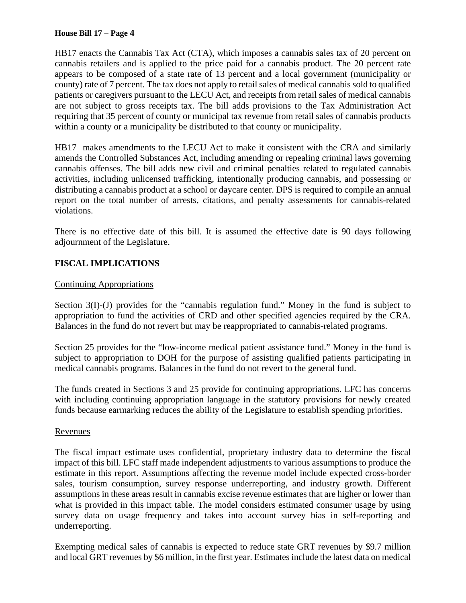HB17 enacts the Cannabis Tax Act (CTA), which imposes a cannabis sales tax of 20 percent on cannabis retailers and is applied to the price paid for a cannabis product. The 20 percent rate appears to be composed of a state rate of 13 percent and a local government (municipality or county) rate of 7 percent. The tax does not apply to retail sales of medical cannabis sold to qualified patients or caregivers pursuant to the LECU Act, and receipts from retail sales of medical cannabis are not subject to gross receipts tax. The bill adds provisions to the Tax Administration Act requiring that 35 percent of county or municipal tax revenue from retail sales of cannabis products within a county or a municipality be distributed to that county or municipality.

HB17 makes amendments to the LECU Act to make it consistent with the CRA and similarly amends the Controlled Substances Act, including amending or repealing criminal laws governing cannabis offenses. The bill adds new civil and criminal penalties related to regulated cannabis activities, including unlicensed trafficking, intentionally producing cannabis, and possessing or distributing a cannabis product at a school or daycare center. DPS is required to compile an annual report on the total number of arrests, citations, and penalty assessments for cannabis-related violations.

There is no effective date of this bill. It is assumed the effective date is 90 days following adjournment of the Legislature.

# **FISCAL IMPLICATIONS**

### Continuing Appropriations

Section 3(I)-(J) provides for the "cannabis regulation fund." Money in the fund is subject to appropriation to fund the activities of CRD and other specified agencies required by the CRA. Balances in the fund do not revert but may be reappropriated to cannabis-related programs.

Section 25 provides for the "low-income medical patient assistance fund." Money in the fund is subject to appropriation to DOH for the purpose of assisting qualified patients participating in medical cannabis programs. Balances in the fund do not revert to the general fund.

The funds created in Sections 3 and 25 provide for continuing appropriations. LFC has concerns with including continuing appropriation language in the statutory provisions for newly created funds because earmarking reduces the ability of the Legislature to establish spending priorities.

### Revenues

The fiscal impact estimate uses confidential, proprietary industry data to determine the fiscal impact of this bill. LFC staff made independent adjustments to various assumptions to produce the estimate in this report. Assumptions affecting the revenue model include expected cross-border sales, tourism consumption, survey response underreporting, and industry growth. Different assumptions in these areas result in cannabis excise revenue estimates that are higher or lower than what is provided in this impact table. The model considers estimated consumer usage by using survey data on usage frequency and takes into account survey bias in self-reporting and underreporting.

Exempting medical sales of cannabis is expected to reduce state GRT revenues by \$9.7 million and local GRT revenues by \$6 million, in the first year. Estimates include the latest data on medical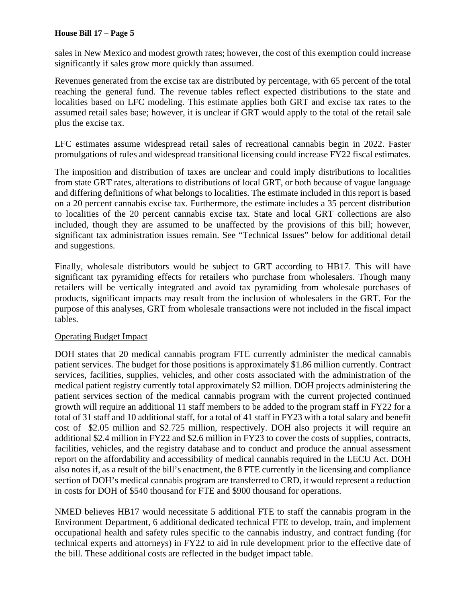sales in New Mexico and modest growth rates; however, the cost of this exemption could increase significantly if sales grow more quickly than assumed.

Revenues generated from the excise tax are distributed by percentage, with 65 percent of the total reaching the general fund. The revenue tables reflect expected distributions to the state and localities based on LFC modeling. This estimate applies both GRT and excise tax rates to the assumed retail sales base; however, it is unclear if GRT would apply to the total of the retail sale plus the excise tax.

LFC estimates assume widespread retail sales of recreational cannabis begin in 2022. Faster promulgations of rules and widespread transitional licensing could increase FY22 fiscal estimates.

The imposition and distribution of taxes are unclear and could imply distributions to localities from state GRT rates, alterations to distributions of local GRT, or both because of vague language and differing definitions of what belongs to localities. The estimate included in this report is based on a 20 percent cannabis excise tax. Furthermore, the estimate includes a 35 percent distribution to localities of the 20 percent cannabis excise tax. State and local GRT collections are also included, though they are assumed to be unaffected by the provisions of this bill; however, significant tax administration issues remain. See "Technical Issues" below for additional detail and suggestions.

Finally, wholesale distributors would be subject to GRT according to HB17. This will have significant tax pyramiding effects for retailers who purchase from wholesalers. Though many retailers will be vertically integrated and avoid tax pyramiding from wholesale purchases of products, significant impacts may result from the inclusion of wholesalers in the GRT. For the purpose of this analyses, GRT from wholesale transactions were not included in the fiscal impact tables.

# Operating Budget Impact

DOH states that 20 medical cannabis program FTE currently administer the medical cannabis patient services. The budget for those positions is approximately \$1.86 million currently. Contract services, facilities, supplies, vehicles, and other costs associated with the administration of the medical patient registry currently total approximately \$2 million. DOH projects administering the patient services section of the medical cannabis program with the current projected continued growth will require an additional 11 staff members to be added to the program staff in FY22 for a total of 31 staff and 10 additional staff, for a total of 41 staff in FY23 with a total salary and benefit cost of \$2.05 million and \$2.725 million, respectively. DOH also projects it will require an additional \$2.4 million in FY22 and \$2.6 million in FY23 to cover the costs of supplies, contracts, facilities, vehicles, and the registry database and to conduct and produce the annual assessment report on the affordability and accessibility of medical cannabis required in the LECU Act. DOH also notes if, as a result of the bill's enactment, the 8 FTE currently in the licensing and compliance section of DOH's medical cannabis program are transferred to CRD, it would represent a reduction in costs for DOH of \$540 thousand for FTE and \$900 thousand for operations.

NMED believes HB17 would necessitate 5 additional FTE to staff the cannabis program in the Environment Department, 6 additional dedicated technical FTE to develop, train, and implement occupational health and safety rules specific to the cannabis industry, and contract funding (for technical experts and attorneys) in FY22 to aid in rule development prior to the effective date of the bill. These additional costs are reflected in the budget impact table.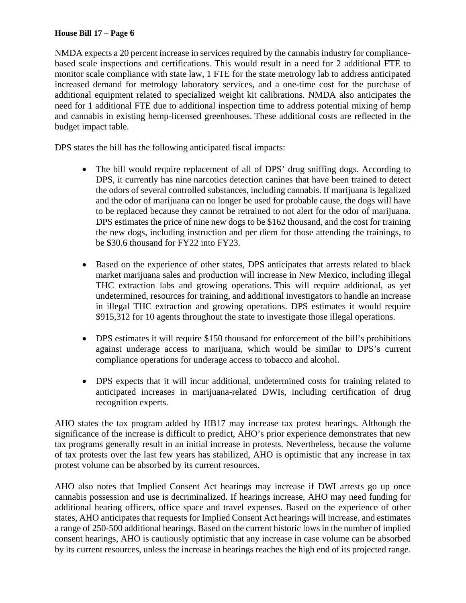NMDA expects a 20 percent increase in services required by the cannabis industry for compliancebased scale inspections and certifications. This would result in a need for 2 additional FTE to monitor scale compliance with state law, 1 FTE for the state metrology lab to address anticipated increased demand for metrology laboratory services, and a one-time cost for the purchase of additional equipment related to specialized weight kit calibrations. NMDA also anticipates the need for 1 additional FTE due to additional inspection time to address potential mixing of hemp and cannabis in existing hemp-licensed greenhouses. These additional costs are reflected in the budget impact table.

DPS states the bill has the following anticipated fiscal impacts:

- The bill would require replacement of all of DPS' drug sniffing dogs. According to DPS, it currently has nine narcotics detection canines that have been trained to detect the odors of several controlled substances, including cannabis. If marijuana is legalized and the odor of marijuana can no longer be used for probable cause, the dogs will have to be replaced because they cannot be retrained to not alert for the odor of marijuana. DPS estimates the price of nine new dogs to be \$162 thousand, and the cost for training the new dogs, including instruction and per diem for those attending the trainings, to be **\$**30.6 thousand for FY22 into FY23.
- Based on the experience of other states, DPS anticipates that arrests related to black market marijuana sales and production will increase in New Mexico, including illegal THC extraction labs and growing operations. This will require additional, as yet undetermined, resources for training, and additional investigators to handle an increase in illegal THC extraction and growing operations. DPS estimates it would require \$915,312 for 10 agents throughout the state to investigate those illegal operations.
- DPS estimates it will require \$150 thousand for enforcement of the bill's prohibitions against underage access to marijuana, which would be similar to DPS's current compliance operations for underage access to tobacco and alcohol.
- DPS expects that it will incur additional, undetermined costs for training related to anticipated increases in marijuana-related DWIs, including certification of drug recognition experts.

AHO states the tax program added by HB17 may increase tax protest hearings. Although the significance of the increase is difficult to predict, AHO's prior experience demonstrates that new tax programs generally result in an initial increase in protests. Nevertheless, because the volume of tax protests over the last few years has stabilized, AHO is optimistic that any increase in tax protest volume can be absorbed by its current resources.

AHO also notes that Implied Consent Act hearings may increase if DWI arrests go up once cannabis possession and use is decriminalized. If hearings increase, AHO may need funding for additional hearing officers, office space and travel expenses. Based on the experience of other states, AHO anticipates that requests for Implied Consent Act hearings will increase, and estimates a range of 250-500 additional hearings. Based on the current historic lows in the number of implied consent hearings, AHO is cautiously optimistic that any increase in case volume can be absorbed by its current resources, unless the increase in hearings reaches the high end of its projected range.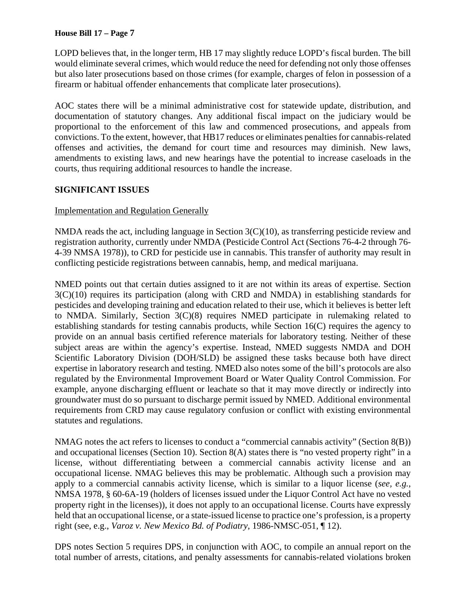LOPD believes that, in the longer term, HB 17 may slightly reduce LOPD's fiscal burden. The bill would eliminate several crimes, which would reduce the need for defending not only those offenses but also later prosecutions based on those crimes (for example, charges of felon in possession of a firearm or habitual offender enhancements that complicate later prosecutions).

AOC states there will be a minimal administrative cost for statewide update, distribution, and documentation of statutory changes. Any additional fiscal impact on the judiciary would be proportional to the enforcement of this law and commenced prosecutions, and appeals from convictions. To the extent, however, that HB17 reduces or eliminates penalties for cannabis-related offenses and activities, the demand for court time and resources may diminish. New laws, amendments to existing laws, and new hearings have the potential to increase caseloads in the courts, thus requiring additional resources to handle the increase.

# **SIGNIFICANT ISSUES**

# Implementation and Regulation Generally

NMDA reads the act, including language in Section  $3(C)(10)$ , as transferring pesticide review and registration authority, currently under NMDA (Pesticide Control Act (Sections 76-4-2 through 76- 4-39 NMSA 1978)), to CRD for pesticide use in cannabis. This transfer of authority may result in conflicting pesticide registrations between cannabis, hemp, and medical marijuana.

NMED points out that certain duties assigned to it are not within its areas of expertise. Section 3(C)(10) requires its participation (along with CRD and NMDA) in establishing standards for pesticides and developing training and education related to their use, which it believes is better left to NMDA. Similarly, Section 3(C)(8) requires NMED participate in rulemaking related to establishing standards for testing cannabis products, while Section 16(C) requires the agency to provide on an annual basis certified reference materials for laboratory testing. Neither of these subject areas are within the agency's expertise. Instead, NMED suggests NMDA and DOH Scientific Laboratory Division (DOH/SLD) be assigned these tasks because both have direct expertise in laboratory research and testing. NMED also notes some of the bill's protocols are also regulated by the Environmental Improvement Board or Water Quality Control Commission. For example, anyone discharging effluent or leachate so that it may move directly or indirectly into groundwater must do so pursuant to discharge permit issued by NMED. Additional environmental requirements from CRD may cause regulatory confusion or conflict with existing environmental statutes and regulations.

NMAG notes the act refers to licenses to conduct a "commercial cannabis activity" (Section 8(B)) and occupational licenses (Section 10). Section 8(A) states there is "no vested property right" in a license, without differentiating between a commercial cannabis activity license and an occupational license. NMAG believes this may be problematic. Although such a provision may apply to a commercial cannabis activity license, which is similar to a liquor license (*see, e.g.*, NMSA 1978, § 60-6A-19 (holders of licenses issued under the Liquor Control Act have no vested property right in the licenses)), it does not apply to an occupational license. Courts have expressly held that an occupational license, or a state-issued license to practice one's profession, is a property right (see, e.g., *Varoz v. New Mexico Bd. of Podiatry*, 1986-NMSC-051, ¶ 12).

DPS notes Section 5 requires DPS, in conjunction with AOC, to compile an annual report on the total number of arrests, citations, and penalty assessments for cannabis-related violations broken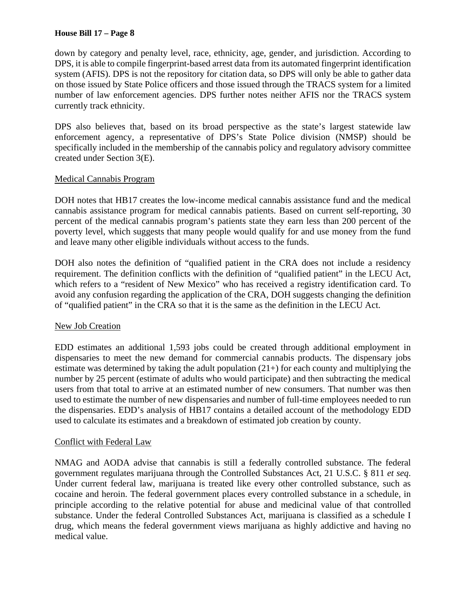down by category and penalty level, race, ethnicity, age, gender, and jurisdiction. According to DPS, it is able to compile fingerprint-based arrest data from its automated fingerprint identification system (AFIS). DPS is not the repository for citation data, so DPS will only be able to gather data on those issued by State Police officers and those issued through the TRACS system for a limited number of law enforcement agencies. DPS further notes neither AFIS nor the TRACS system currently track ethnicity.

DPS also believes that, based on its broad perspective as the state's largest statewide law enforcement agency, a representative of DPS's State Police division (NMSP) should be specifically included in the membership of the cannabis policy and regulatory advisory committee created under Section 3(E).

### Medical Cannabis Program

DOH notes that HB17 creates the low-income medical cannabis assistance fund and the medical cannabis assistance program for medical cannabis patients. Based on current self-reporting, 30 percent of the medical cannabis program's patients state they earn less than 200 percent of the poverty level, which suggests that many people would qualify for and use money from the fund and leave many other eligible individuals without access to the funds.

DOH also notes the definition of "qualified patient in the CRA does not include a residency requirement. The definition conflicts with the definition of "qualified patient" in the LECU Act, which refers to a "resident of New Mexico" who has received a registry identification card. To avoid any confusion regarding the application of the CRA, DOH suggests changing the definition of "qualified patient" in the CRA so that it is the same as the definition in the LECU Act.

### New Job Creation

EDD estimates an additional 1,593 jobs could be created through additional employment in dispensaries to meet the new demand for commercial cannabis products. The dispensary jobs estimate was determined by taking the adult population  $(21+)$  for each county and multiplying the number by 25 percent (estimate of adults who would participate) and then subtracting the medical users from that total to arrive at an estimated number of new consumers. That number was then used to estimate the number of new dispensaries and number of full-time employees needed to run the dispensaries. EDD's analysis of HB17 contains a detailed account of the methodology EDD used to calculate its estimates and a breakdown of estimated job creation by county.

#### Conflict with Federal Law

NMAG and AODA advise that cannabis is still a federally controlled substance. The federal government regulates marijuana through the Controlled Substances Act, 21 U.S.C. § 811 *et seq*. Under current federal law, marijuana is treated like every other controlled substance, such as cocaine and heroin. The federal government places every controlled substance in a schedule, in principle according to the relative potential for abuse and medicinal value of that controlled substance. Under the federal Controlled Substances Act, marijuana is classified as a schedule I drug, which means the federal government views marijuana as highly addictive and having no medical value.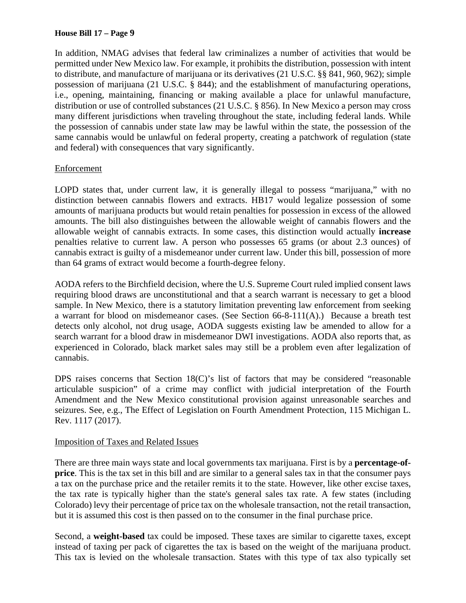In addition, NMAG advises that federal law criminalizes a number of activities that would be permitted under New Mexico law. For example, it prohibits the distribution, possession with intent to distribute, and manufacture of marijuana or its derivatives (21 U.S.C. §§ 841, 960, 962); simple possession of marijuana (21 U.S.C. § 844); and the establishment of manufacturing operations, i.e., opening, maintaining, financing or making available a place for unlawful manufacture, distribution or use of controlled substances (21 U.S.C. § 856). In New Mexico a person may cross many different jurisdictions when traveling throughout the state, including federal lands. While the possession of cannabis under state law may be lawful within the state, the possession of the same cannabis would be unlawful on federal property, creating a patchwork of regulation (state and federal) with consequences that vary significantly.

### Enforcement

LOPD states that, under current law, it is generally illegal to possess "marijuana," with no distinction between cannabis flowers and extracts. HB17 would legalize possession of some amounts of marijuana products but would retain penalties for possession in excess of the allowed amounts. The bill also distinguishes between the allowable weight of cannabis flowers and the allowable weight of cannabis extracts. In some cases, this distinction would actually **increase**  penalties relative to current law. A person who possesses 65 grams (or about 2.3 ounces) of cannabis extract is guilty of a misdemeanor under current law. Under this bill, possession of more than 64 grams of extract would become a fourth-degree felony.

AODA refers to the Birchfield decision, where the U.S. Supreme Court ruled implied consent laws requiring blood draws are unconstitutional and that a search warrant is necessary to get a blood sample. In New Mexico, there is a statutory limitation preventing law enforcement from seeking a warrant for blood on misdemeanor cases. (See Section 66-8-111(A).) Because a breath test detects only alcohol, not drug usage, AODA suggests existing law be amended to allow for a search warrant for a blood draw in misdemeanor DWI investigations. AODA also reports that, as experienced in Colorado, black market sales may still be a problem even after legalization of cannabis.

DPS raises concerns that Section 18(C)'s list of factors that may be considered "reasonable" articulable suspicion" of a crime may conflict with judicial interpretation of the Fourth Amendment and the New Mexico constitutional provision against unreasonable searches and seizures. See, e.g., The Effect of Legislation on Fourth Amendment Protection, 115 Michigan L. Rev. 1117 (2017).

### Imposition of Taxes and Related Issues

There are three main ways state and local governments tax marijuana. First is by a **percentage-ofprice**. This is the tax set in this bill and are similar to a general sales tax in that the consumer pays a tax on the purchase price and the retailer remits it to the state. However, like other excise taxes, the tax rate is typically higher than the state's general sales tax rate. A few states (including Colorado) levy their percentage of price tax on the wholesale transaction, not the retail transaction, but it is assumed this cost is then passed on to the consumer in the final purchase price.

Second, a **weight-based** tax could be imposed. These taxes are similar to cigarette taxes, except instead of taxing per pack of cigarettes the tax is based on the weight of the marijuana product. This tax is levied on the wholesale transaction. States with this type of tax also typically set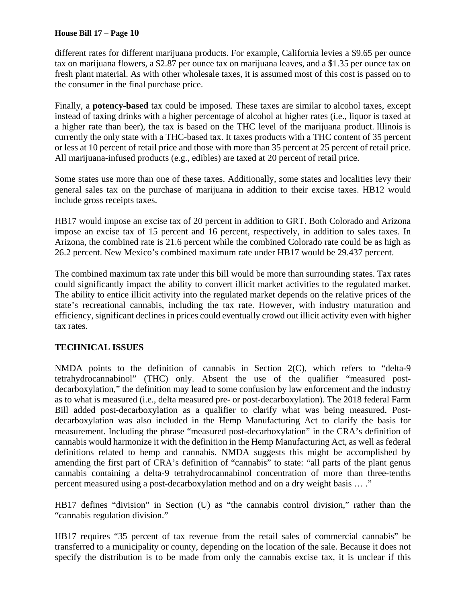different rates for different marijuana products. For example, California levies a \$9.65 per ounce tax on marijuana flowers, a \$2.87 per ounce tax on marijuana leaves, and a \$1.35 per ounce tax on fresh plant material. As with other wholesale taxes, it is assumed most of this cost is passed on to the consumer in the final purchase price.

Finally, a **potency-based** tax could be imposed. These taxes are similar to alcohol taxes, except instead of taxing drinks with a higher percentage of alcohol at higher rates (i.e., liquor is taxed at a higher rate than beer), the tax is based on the THC level of the marijuana product. Illinois is currently the only state with a THC-based tax. It taxes products with a THC content of 35 percent or less at 10 percent of retail price and those with more than 35 percent at 25 percent of retail price. All marijuana-infused products (e.g., edibles) are taxed at 20 percent of retail price.

Some states use more than one of these taxes. Additionally, some states and localities levy their general sales tax on the purchase of marijuana in addition to their excise taxes. HB12 would include gross receipts taxes.

HB17 would impose an excise tax of 20 percent in addition to GRT. Both Colorado and Arizona impose an excise tax of 15 percent and 16 percent, respectively, in addition to sales taxes. In Arizona, the combined rate is 21.6 percent while the combined Colorado rate could be as high as 26.2 percent. New Mexico's combined maximum rate under HB17 would be 29.437 percent.

The combined maximum tax rate under this bill would be more than surrounding states. Tax rates could significantly impact the ability to convert illicit market activities to the regulated market. The ability to entice illicit activity into the regulated market depends on the relative prices of the state's recreational cannabis, including the tax rate. However, with industry maturation and efficiency, significant declines in prices could eventually crowd out illicit activity even with higher tax rates.

# **TECHNICAL ISSUES**

NMDA points to the definition of cannabis in Section 2(C), which refers to "delta-9 tetrahydrocannabinol" (THC) only. Absent the use of the qualifier "measured postdecarboxylation," the definition may lead to some confusion by law enforcement and the industry as to what is measured (i.e., delta measured pre- or post-decarboxylation). The 2018 federal Farm Bill added post-decarboxylation as a qualifier to clarify what was being measured. Postdecarboxylation was also included in the Hemp Manufacturing Act to clarify the basis for measurement. Including the phrase "measured post-decarboxylation" in the CRA's definition of cannabis would harmonize it with the definition in the Hemp Manufacturing Act, as well as federal definitions related to hemp and cannabis. NMDA suggests this might be accomplished by amending the first part of CRA's definition of "cannabis" to state: "all parts of the plant genus cannabis containing a delta-9 tetrahydrocannabinol concentration of more than three-tenths percent measured using a post-decarboxylation method and on a dry weight basis … ."

HB17 defines "division" in Section (U) as "the cannabis control division," rather than the "cannabis regulation division."

HB17 requires "35 percent of tax revenue from the retail sales of commercial cannabis" be transferred to a municipality or county, depending on the location of the sale. Because it does not specify the distribution is to be made from only the cannabis excise tax, it is unclear if this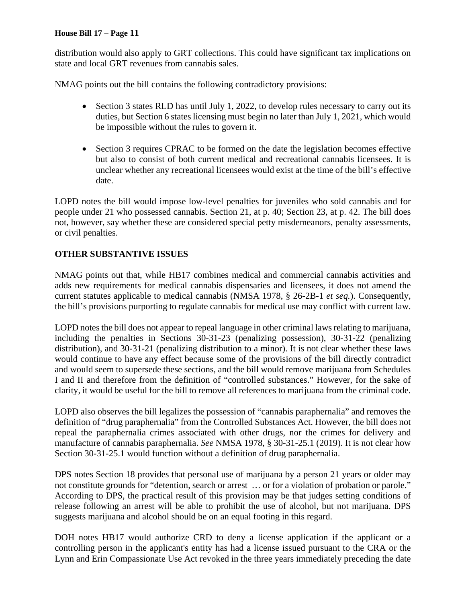distribution would also apply to GRT collections. This could have significant tax implications on state and local GRT revenues from cannabis sales.

NMAG points out the bill contains the following contradictory provisions:

- Section 3 states RLD has until July 1, 2022, to develop rules necessary to carry out its duties, but Section 6 states licensing must begin no later than July 1, 2021, which would be impossible without the rules to govern it.
- Section 3 requires CPRAC to be formed on the date the legislation becomes effective but also to consist of both current medical and recreational cannabis licensees. It is unclear whether any recreational licensees would exist at the time of the bill's effective date.

LOPD notes the bill would impose low-level penalties for juveniles who sold cannabis and for people under 21 who possessed cannabis. Section 21, at p. 40; Section 23, at p. 42. The bill does not, however, say whether these are considered special petty misdemeanors, penalty assessments, or civil penalties.

# **OTHER SUBSTANTIVE ISSUES**

NMAG points out that, while HB17 combines medical and commercial cannabis activities and adds new requirements for medical cannabis dispensaries and licensees, it does not amend the current statutes applicable to medical cannabis (NMSA 1978, § 26-2B-1 *et seq.*). Consequently, the bill's provisions purporting to regulate cannabis for medical use may conflict with current law.

LOPD notes the bill does not appear to repeal language in other criminal laws relating to marijuana, including the penalties in Sections 30-31-23 (penalizing possession), 30-31-22 (penalizing distribution), and 30-31-21 (penalizing distribution to a minor). It is not clear whether these laws would continue to have any effect because some of the provisions of the bill directly contradict and would seem to supersede these sections, and the bill would remove marijuana from Schedules I and II and therefore from the definition of "controlled substances." However, for the sake of clarity, it would be useful for the bill to remove all references to marijuana from the criminal code.

LOPD also observes the bill legalizes the possession of "cannabis paraphernalia" and removes the definition of "drug paraphernalia" from the Controlled Substances Act. However, the bill does not repeal the paraphernalia crimes associated with other drugs, nor the crimes for delivery and manufacture of cannabis paraphernalia. *See* NMSA 1978, § 30-31-25.1 (2019). It is not clear how Section 30-31-25.1 would function without a definition of drug paraphernalia.

DPS notes Section 18 provides that personal use of marijuana by a person 21 years or older may not constitute grounds for "detention, search or arrest … or for a violation of probation or parole." According to DPS, the practical result of this provision may be that judges setting conditions of release following an arrest will be able to prohibit the use of alcohol, but not marijuana. DPS suggests marijuana and alcohol should be on an equal footing in this regard.

DOH notes HB17 would authorize CRD to deny a license application if the applicant or a controlling person in the applicant's entity has had a license issued pursuant to the CRA or the Lynn and Erin Compassionate Use Act revoked in the three years immediately preceding the date